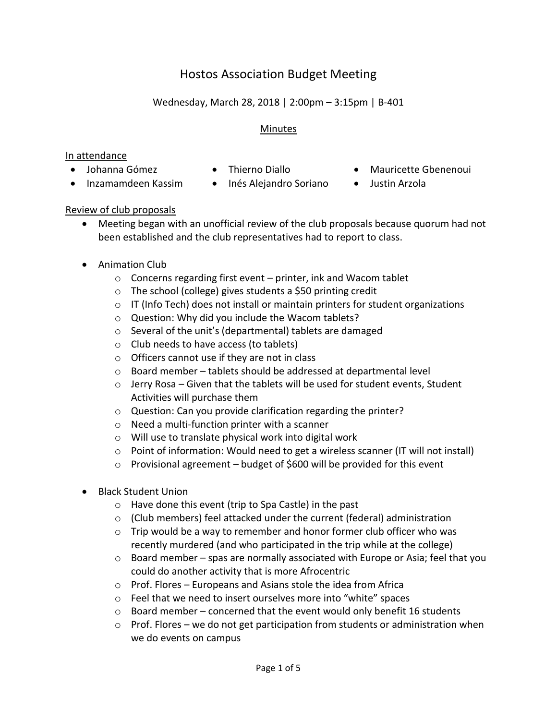# Hostos Association Budget Meeting

## Wednesday, March 28, 2018 | 2:00pm – 3:15pm | B-401

### Minutes

#### In attendance

- 
- 
- Johanna Gómez Thierno Diallo Mauricette Gbenenoui
- Inzamamdeen Kassim Inés Alejandro Soriano Justin Arzola
- 
- 

### Review of club proposals

- Meeting began with an unofficial review of the club proposals because quorum had not been established and the club representatives had to report to class.
- Animation Club
	- $\circ$  Concerns regarding first event printer, ink and Wacom tablet
	- o The school (college) gives students a \$50 printing credit
	- o IT (Info Tech) does not install or maintain printers for student organizations
	- o Question: Why did you include the Wacom tablets?
	- o Several of the unit's (departmental) tablets are damaged
	- o Club needs to have access (to tablets)
	- o Officers cannot use if they are not in class
	- o Board member tablets should be addressed at departmental level
	- o Jerry Rosa Given that the tablets will be used for student events, Student Activities will purchase them
	- o Question: Can you provide clarification regarding the printer?
	- o Need a multi-function printer with a scanner
	- o Will use to translate physical work into digital work
	- $\circ$  Point of information: Would need to get a wireless scanner (IT will not install)
	- o Provisional agreement budget of \$600 will be provided for this event
- Black Student Union
	- o Have done this event (trip to Spa Castle) in the past
	- o (Club members) feel attacked under the current (federal) administration
	- $\circ$  Trip would be a way to remember and honor former club officer who was recently murdered (and who participated in the trip while at the college)
	- $\circ$  Board member spas are normally associated with Europe or Asia; feel that you could do another activity that is more Afrocentric
	- o Prof. Flores Europeans and Asians stole the idea from Africa
	- o Feel that we need to insert ourselves more into "white" spaces
	- $\circ$  Board member concerned that the event would only benefit 16 students
	- $\circ$  Prof. Flores we do not get participation from students or administration when we do events on campus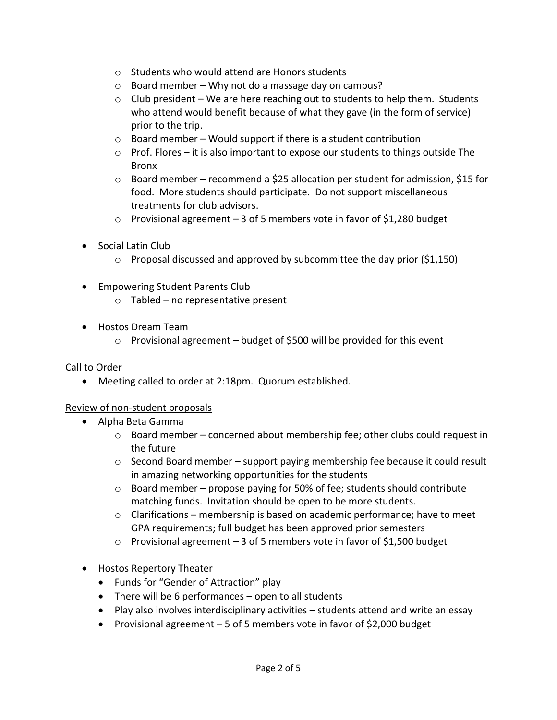- o Students who would attend are Honors students
- o Board member Why not do a massage day on campus?
- $\circ$  Club president We are here reaching out to students to help them. Students who attend would benefit because of what they gave (in the form of service) prior to the trip.
- $\circ$  Board member Would support if there is a student contribution
- $\circ$  Prof. Flores it is also important to expose our students to things outside The Bronx
- $\circ$  Board member recommend a \$25 allocation per student for admission, \$15 for food. More students should participate. Do not support miscellaneous treatments for club advisors.
- $\circ$  Provisional agreement 3 of 5 members vote in favor of \$1,280 budget
- Social Latin Club
	- $\circ$  Proposal discussed and approved by subcommittee the day prior (\$1,150)
- Empowering Student Parents Club
	- o Tabled no representative present
- Hostos Dream Team
	- o Provisional agreement budget of \$500 will be provided for this event

### Call to Order

Meeting called to order at 2:18pm. Quorum established.

### Review of non-student proposals

- Alpha Beta Gamma
	- o Board member concerned about membership fee; other clubs could request in the future
	- $\circ$  Second Board member support paying membership fee because it could result in amazing networking opportunities for the students
	- $\circ$  Board member propose paying for 50% of fee; students should contribute matching funds. Invitation should be open to be more students.
	- o Clarifications membership is based on academic performance; have to meet GPA requirements; full budget has been approved prior semesters
	- $\circ$  Provisional agreement 3 of 5 members vote in favor of \$1,500 budget
- Hostos Repertory Theater
	- Funds for "Gender of Attraction" play
	- There will be 6 performances open to all students
	- Play also involves interdisciplinary activities students attend and write an essay
	- Provisional agreement 5 of 5 members vote in favor of \$2,000 budget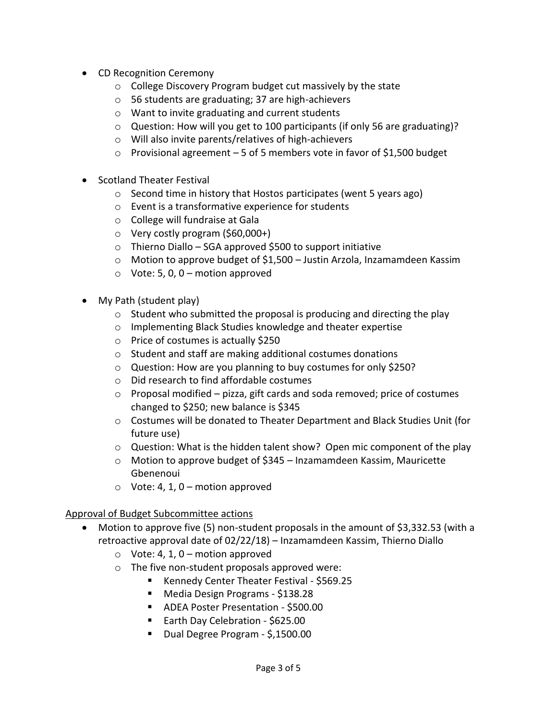- CD Recognition Ceremony
	- o College Discovery Program budget cut massively by the state
	- o 56 students are graduating; 37 are high-achievers
	- o Want to invite graduating and current students
	- $\circ$  Question: How will you get to 100 participants (if only 56 are graduating)?
	- o Will also invite parents/relatives of high-achievers
	- o Provisional agreement 5 of 5 members vote in favor of \$1,500 budget
- Scotland Theater Festival
	- o Second time in history that Hostos participates (went 5 years ago)
	- o Event is a transformative experience for students
	- o College will fundraise at Gala
	- o Very costly program (\$60,000+)
	- $\circ$  Thierno Diallo SGA approved \$500 to support initiative
	- o Motion to approve budget of \$1,500 Justin Arzola, Inzamamdeen Kassim
	- $\circ$  Vote: 5, 0, 0 motion approved
- My Path (student play)
	- $\circ$  Student who submitted the proposal is producing and directing the play
	- o Implementing Black Studies knowledge and theater expertise
	- o Price of costumes is actually \$250
	- o Student and staff are making additional costumes donations
	- o Question: How are you planning to buy costumes for only \$250?
	- o Did research to find affordable costumes
	- $\circ$  Proposal modified pizza, gift cards and soda removed; price of costumes changed to \$250; new balance is \$345
	- $\circ$  Costumes will be donated to Theater Department and Black Studies Unit (for future use)
	- $\circ$  Question: What is the hidden talent show? Open mic component of the play
	- o Motion to approve budget of \$345 Inzamamdeen Kassim, Mauricette Gbenenoui
	- $\circ$  Vote: 4, 1, 0 motion approved

### Approval of Budget Subcommittee actions

- Motion to approve five (5) non-student proposals in the amount of \$3,332.53 (with a retroactive approval date of 02/22/18) – Inzamamdeen Kassim, Thierno Diallo
	- $\circ$  Vote: 4, 1, 0 motion approved
	- o The five non-student proposals approved were:
		- Kennedy Center Theater Festival \$569.25
		- Media Design Programs \$138.28
		- ADEA Poster Presentation \$500.00
		- Earth Day Celebration \$625.00
		- Dual Degree Program \$,1500.00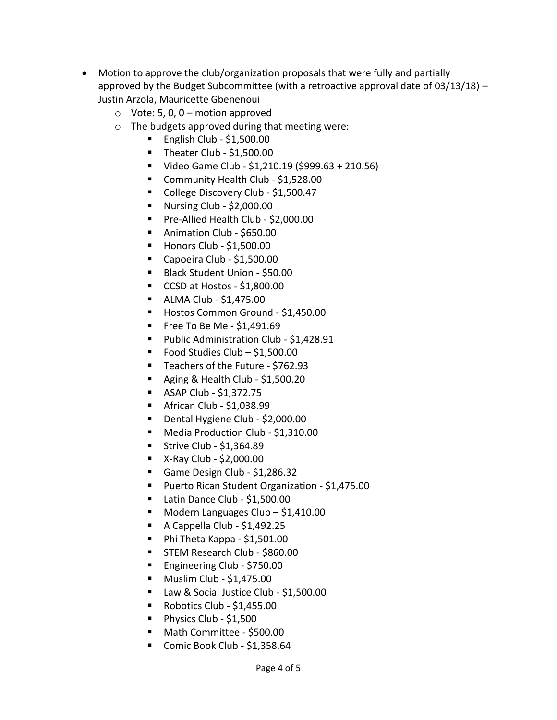- Motion to approve the club/organization proposals that were fully and partially approved by the Budget Subcommittee (with a retroactive approval date of 03/13/18) – Justin Arzola, Mauricette Gbenenoui
	- $\circ$  Vote: 5, 0, 0 motion approved
	- o The budgets approved during that meeting were:
		- $\blacksquare$  English Club \$1,500.00
		- Theater Club \$1,500.00
		- Video Game Club \$1,210.19 (\$999.63 + 210.56)
		- Community Health Club \$1,528.00
		- College Discovery Club \$1,500.47
		- Nursing Club  $$2,000.00$
		- Pre-Allied Health Club \$2,000.00
		- **Animation Club \$650.00**
		- $\blacksquare$  Honors Club \$1,500.00
		- Capoeira Club \$1,500.00
		- Black Student Union \$50.00
		- CCSD at Hostos \$1,800.00
		- $\blacksquare$  ALMA Club \$1,475.00
		- Hostos Common Ground \$1,450.00
		- $\blacksquare$  Free To Be Me \$1,491.69
		- **Public Administration Club \$1,428.91**
		- Food Studies Club  $-$  \$1,500.00
		- Teachers of the Future \$762.93
		- Aging & Health Club  $$1,500.20$
		- $-$  ASAP Club \$1,372.75
		- $\blacksquare$  African Club \$1,038.99
		- Dental Hygiene Club \$2,000.00
		- Media Production Club \$1,310.00
		- Strive Club  $$1,364.89$
		- $\blacksquare$  X-Ray Club \$2,000.00
		- Game Design Club \$1,286.32
		- **Puerto Rican Student Organization \$1,475.00**
		- Latin Dance Club \$1,500.00
		- $\blacksquare$  Modern Languages Club \$1,410.00
		- A Cappella Club \$1,492.25
		- $\blacksquare$  Phi Theta Kappa \$1,501.00
		- **STEM Research Club \$860.00**
		- Engineering Club \$750.00
		- **Muslim Club \$1,475.00**
		- Law & Social Justice Club \$1,500.00
		- Robotics Club \$1,455.00
		- Physics Club \$1,500
		- Math Committee \$500.00
		- Comic Book Club \$1,358.64